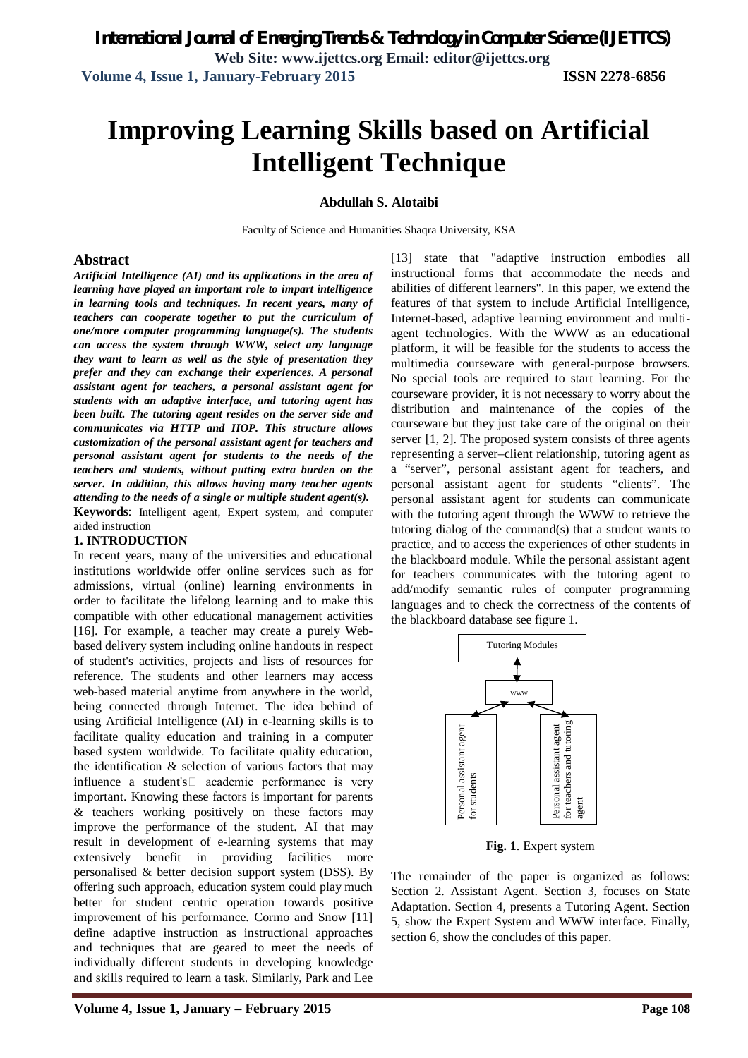# **Improving Learning Skills based on Artificial Intelligent Technique**

# **Abdullah S. Alotaibi**

Faculty of Science and Humanities Shaqra University, KSA

#### **Abstract**

*Artificial Intelligence (AI) and its applications in the area of learning have played an important role to impart intelligence in learning tools and techniques. In recent years, many of teachers can cooperate together to put the curriculum of one/more computer programming language(s). The students can access the system through WWW, select any language they want to learn as well as the style of presentation they prefer and they can exchange their experiences. A personal assistant agent for teachers, a personal assistant agent for students with an adaptive interface, and tutoring agent has been built. The tutoring agent resides on the server side and communicates via HTTP and IIOP. This structure allows customization of the personal assistant agent for teachers and personal assistant agent for students to the needs of the teachers and students, without putting extra burden on the server. In addition, this allows having many teacher agents attending to the needs of a single or multiple student agent(s).* **Keywords**: Intelligent agent, Expert system, and computer aided instruction

#### **1. INTRODUCTION**

In recent years, many of the universities and educational institutions worldwide offer online services such as for admissions, virtual (online) learning environments in order to facilitate the lifelong learning and to make this compatible with other educational management activities [16]. For example, a teacher may create a purely Webbased delivery system including online handouts in respect of student's activities, projects and lists of resources for reference. The students and other learners may access web-based material anytime from anywhere in the world, being connected through Internet. The idea behind of using Artificial Intelligence (AI) in e-learning skills is to facilitate quality education and training in a computer based system worldwide. To facilitate quality education, the identification & selection of various factors that may influence a student's  $\Box$  academic performance is very important. Knowing these factors is important for parents & teachers working positively on these factors may improve the performance of the student. AI that may result in development of e-learning systems that may extensively benefit in providing facilities more personalised & better decision support system (DSS). By offering such approach, education system could play much better for student centric operation towards positive improvement of his performance. Cormo and Snow [11] define adaptive instruction as instructional approaches and techniques that are geared to meet the needs of individually different students in developing knowledge and skills required to learn a task. Similarly, Park and Lee

[13] state that "adaptive instruction embodies all instructional forms that accommodate the needs and abilities of different learners". In this paper, we extend the features of that system to include Artificial Intelligence, Internet-based, adaptive learning environment and multiagent technologies. With the WWW as an educational platform, it will be feasible for the students to access the multimedia courseware with general-purpose browsers. No special tools are required to start learning. For the courseware provider, it is not necessary to worry about the distribution and maintenance of the copies of the courseware but they just take care of the original on their server [1, 2]. The proposed system consists of three agents representing a server–client relationship, tutoring agent as a "server", personal assistant agent for teachers, and personal assistant agent for students "clients". The personal assistant agent for students can communicate with the tutoring agent through the WWW to retrieve the tutoring dialog of the command(s) that a student wants to practice, and to access the experiences of other students in the blackboard module. While the personal assistant agent for teachers communicates with the tutoring agent to add/modify semantic rules of computer programming languages and to check the correctness of the contents of the blackboard database see figure 1.



**Fig. 1**. Expert system

The remainder of the paper is organized as follows: Section 2. Assistant Agent. Section 3, focuses on State Adaptation. Section 4, presents a Tutoring Agent. Section 5, show the Expert System and WWW interface. Finally, section 6, show the concludes of this paper.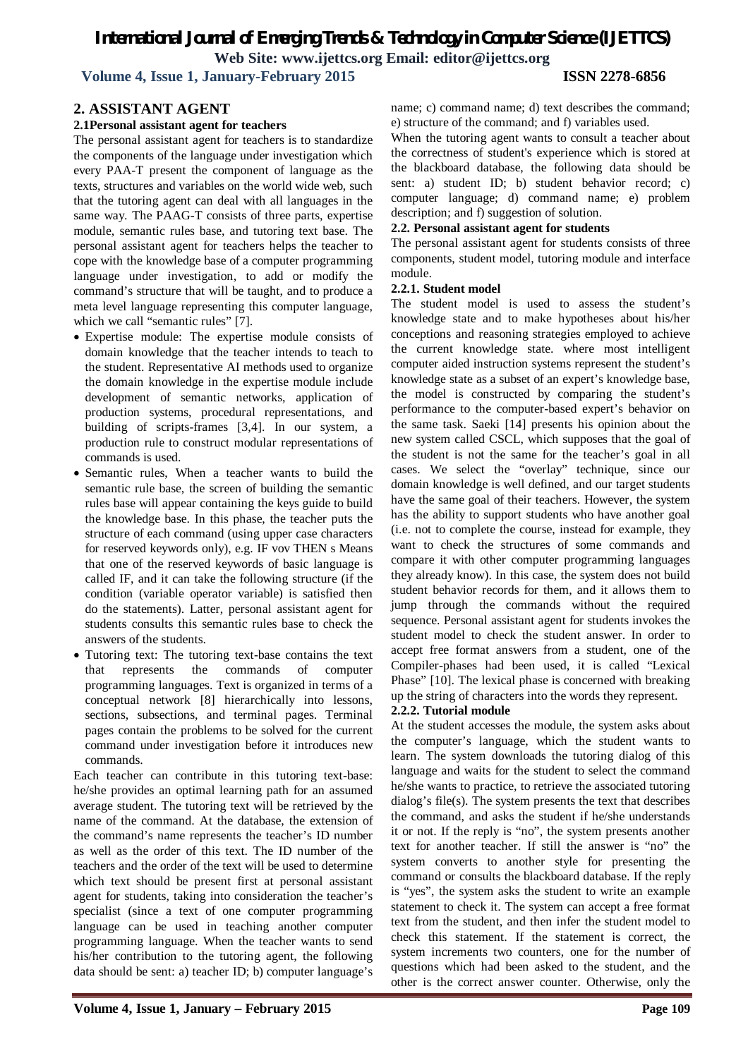*International Journal of Emerging Trends & Technology in Computer Science (IJETTCS)* **Web Site: www.ijettcs.org Email: editor@ijettcs.org Volume 4, Issue 1, January-February 2015 ISSN 2278-6856**

# **2. ASSISTANT AGENT**

#### **2.1Personal assistant agent for teachers**

The personal assistant agent for teachers is to standardize the components of the language under investigation which every PAA-T present the component of language as the texts, structures and variables on the world wide web, such that the tutoring agent can deal with all languages in the same way. The PAAG-T consists of three parts, expertise module, semantic rules base, and tutoring text base. The personal assistant agent for teachers helps the teacher to cope with the knowledge base of a computer programming language under investigation, to add or modify the command's structure that will be taught, and to produce a meta level language representing this computer language, which we call "semantic rules" [7].

- Expertise module: The expertise module consists of domain knowledge that the teacher intends to teach to the student. Representative AI methods used to organize the domain knowledge in the expertise module include development of semantic networks, application of production systems, procedural representations, and building of scripts-frames [3,4]. In our system, a production rule to construct modular representations of commands is used.
- Semantic rules, When a teacher wants to build the semantic rule base, the screen of building the semantic rules base will appear containing the keys guide to build the knowledge base. In this phase, the teacher puts the structure of each command (using upper case characters for reserved keywords only), e.g. IF vov THEN s Means that one of the reserved keywords of basic language is called IF, and it can take the following structure (if the condition (variable operator variable) is satisfied then do the statements). Latter, personal assistant agent for students consults this semantic rules base to check the answers of the students.
- Tutoring text: The tutoring text-base contains the text that represents the commands of computer programming languages. Text is organized in terms of a conceptual network [8] hierarchically into lessons, sections, subsections, and terminal pages. Terminal pages contain the problems to be solved for the current command under investigation before it introduces new commands.

Each teacher can contribute in this tutoring text-base: he/she provides an optimal learning path for an assumed average student. The tutoring text will be retrieved by the name of the command. At the database, the extension of the command's name represents the teacher's ID number as well as the order of this text. The ID number of the teachers and the order of the text will be used to determine which text should be present first at personal assistant agent for students, taking into consideration the teacher's specialist (since a text of one computer programming language can be used in teaching another computer programming language. When the teacher wants to send his/her contribution to the tutoring agent, the following data should be sent: a) teacher ID; b) computer language's name; c) command name; d) text describes the command; e) structure of the command; and f) variables used.

When the tutoring agent wants to consult a teacher about the correctness of student's experience which is stored at the blackboard database, the following data should be sent: a) student ID; b) student behavior record; c) computer language; d) command name; e) problem description; and f) suggestion of solution.

#### **2.2. Personal assistant agent for students**

The personal assistant agent for students consists of three components, student model, tutoring module and interface module.

#### **2.2.1. Student model**

The student model is used to assess the student's knowledge state and to make hypotheses about his/her conceptions and reasoning strategies employed to achieve the current knowledge state. where most intelligent computer aided instruction systems represent the student's knowledge state as a subset of an expert's knowledge base, the model is constructed by comparing the student's performance to the computer-based expert's behavior on the same task. Saeki [14] presents his opinion about the new system called CSCL, which supposes that the goal of the student is not the same for the teacher's goal in all cases. We select the "overlay" technique, since our domain knowledge is well defined, and our target students have the same goal of their teachers. However, the system has the ability to support students who have another goal (i.e. not to complete the course, instead for example, they want to check the structures of some commands and compare it with other computer programming languages they already know). In this case, the system does not build student behavior records for them, and it allows them to jump through the commands without the required sequence. Personal assistant agent for students invokes the student model to check the student answer. In order to accept free format answers from a student, one of the Compiler-phases had been used, it is called "Lexical Phase" [10]. The lexical phase is concerned with breaking up the string of characters into the words they represent.

#### **2.2.2. Tutorial module**

At the student accesses the module, the system asks about the computer's language, which the student wants to learn. The system downloads the tutoring dialog of this language and waits for the student to select the command he/she wants to practice, to retrieve the associated tutoring dialog's file(s). The system presents the text that describes the command, and asks the student if he/she understands it or not. If the reply is "no", the system presents another text for another teacher. If still the answer is "no" the system converts to another style for presenting the command or consults the blackboard database. If the reply is "yes", the system asks the student to write an example statement to check it. The system can accept a free format text from the student, and then infer the student model to check this statement. If the statement is correct, the system increments two counters, one for the number of questions which had been asked to the student, and the other is the correct answer counter. Otherwise, only the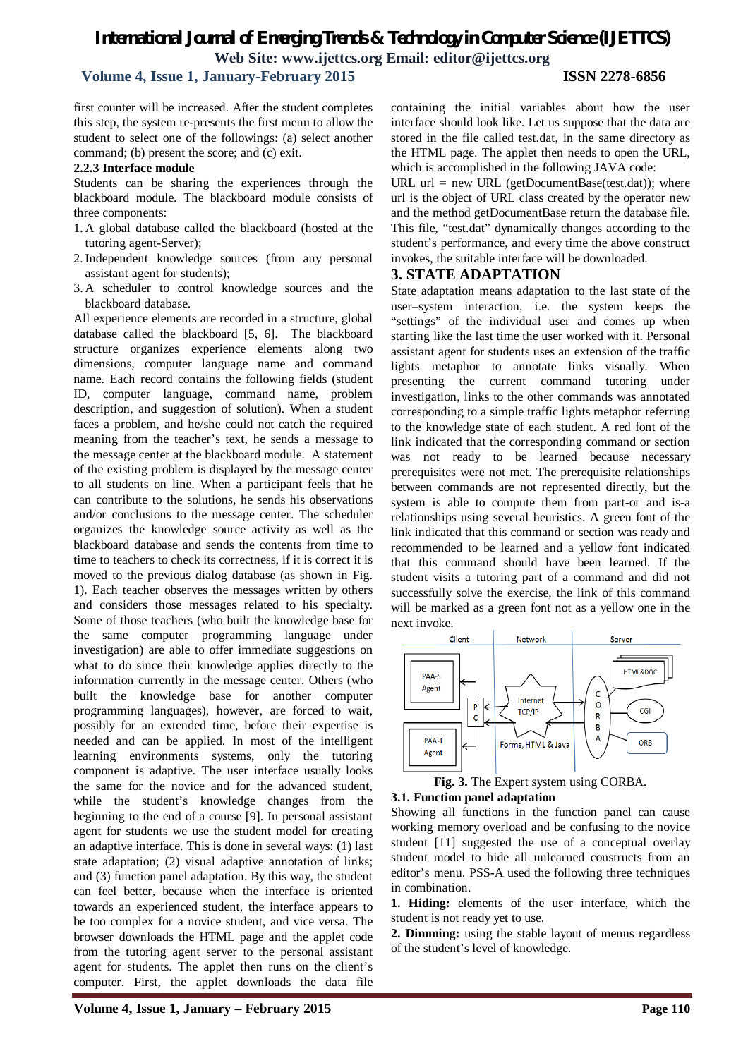# *International Journal of Emerging Trends & Technology in Computer Science (IJETTCS)* **Web Site: www.ijettcs.org Email: editor@ijettcs.org**

# **Volume 4, Issue 1, January-February 2015 ISSN 2278-6856**

first counter will be increased. After the student completes this step, the system re-presents the first menu to allow the student to select one of the followings: (a) select another command; (b) present the score; and (c) exit.

#### **2.2.3 Interface module**

Students can be sharing the experiences through the blackboard module. The blackboard module consists of three components:

- 1. A global database called the blackboard (hosted at the tutoring agent-Server);
- 2.Independent knowledge sources (from any personal assistant agent for students);
- 3. A scheduler to control knowledge sources and the blackboard database.

All experience elements are recorded in a structure, global database called the blackboard [5, 6]. The blackboard structure organizes experience elements along two dimensions, computer language name and command name. Each record contains the following fields (student ID, computer language, command name, problem description, and suggestion of solution). When a student faces a problem, and he/she could not catch the required meaning from the teacher's text, he sends a message to the message center at the blackboard module. A statement of the existing problem is displayed by the message center to all students on line. When a participant feels that he can contribute to the solutions, he sends his observations and/or conclusions to the message center. The scheduler organizes the knowledge source activity as well as the blackboard database and sends the contents from time to time to teachers to check its correctness, if it is correct it is moved to the previous dialog database (as shown in Fig. 1). Each teacher observes the messages written by others and considers those messages related to his specialty. Some of those teachers (who built the knowledge base for the same computer programming language under investigation) are able to offer immediate suggestions on what to do since their knowledge applies directly to the information currently in the message center. Others (who built the knowledge base for another computer programming languages), however, are forced to wait, possibly for an extended time, before their expertise is needed and can be applied. In most of the intelligent learning environments systems, only the tutoring component is adaptive. The user interface usually looks the same for the novice and for the advanced student, while the student's knowledge changes from the beginning to the end of a course [9]. In personal assistant agent for students we use the student model for creating an adaptive interface. This is done in several ways: (1) last state adaptation; (2) visual adaptive annotation of links; and (3) function panel adaptation. By this way, the student can feel better, because when the interface is oriented towards an experienced student, the interface appears to be too complex for a novice student, and vice versa. The browser downloads the HTML page and the applet code from the tutoring agent server to the personal assistant agent for students. The applet then runs on the client's computer. First, the applet downloads the data file

containing the initial variables about how the user interface should look like. Let us suppose that the data are stored in the file called test.dat, in the same directory as the HTML page. The applet then needs to open the URL, which is accomplished in the following JAVA code:

URL url = new URL (getDocumentBase(test.dat)); where url is the object of URL class created by the operator new and the method getDocumentBase return the database file. This file, "test.dat" dynamically changes according to the student's performance, and every time the above construct invokes, the suitable interface will be downloaded.

### **3. STATE ADAPTATION**

State adaptation means adaptation to the last state of the user–system interaction, i.e. the system keeps the "settings" of the individual user and comes up when starting like the last time the user worked with it. Personal assistant agent for students uses an extension of the traffic lights metaphor to annotate links visually. When presenting the current command tutoring under investigation, links to the other commands was annotated corresponding to a simple traffic lights metaphor referring to the knowledge state of each student. A red font of the link indicated that the corresponding command or section was not ready to be learned because necessary prerequisites were not met. The prerequisite relationships between commands are not represented directly, but the system is able to compute them from part-or and is-a relationships using several heuristics. A green font of the link indicated that this command or section was ready and recommended to be learned and a yellow font indicated that this command should have been learned. If the student visits a tutoring part of a command and did not successfully solve the exercise, the link of this command will be marked as a green font not as a yellow one in the next invoke.



**Fig. 3.** The Expert system using CORBA.

#### **3.1. Function panel adaptation**

Showing all functions in the function panel can cause working memory overload and be confusing to the novice student [11] suggested the use of a conceptual overlay student model to hide all unlearned constructs from an editor's menu. PSS-A used the following three techniques in combination.

**1. Hiding:** elements of the user interface, which the student is not ready yet to use.

**2. Dimming:** using the stable layout of menus regardless of the student's level of knowledge.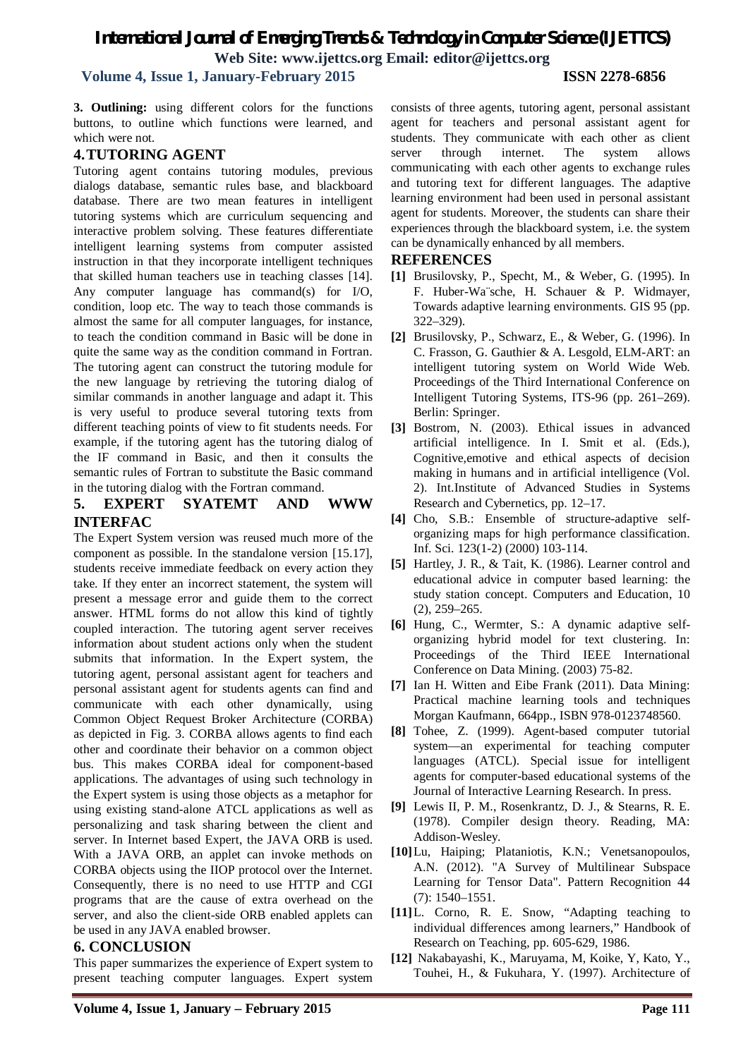# *International Journal of Emerging Trends & Technology in Computer Science (IJETTCS)* **Web Site: www.ijettcs.org Email: editor@ijettcs.org**

# **Volume 4, Issue 1, January-February 2015 ISSN 2278-6856**

**3. Outlining:** using different colors for the functions buttons, to outline which functions were learned, and which were not.

# **4.TUTORING AGENT**

Tutoring agent contains tutoring modules, previous dialogs database, semantic rules base, and blackboard database. There are two mean features in intelligent tutoring systems which are curriculum sequencing and interactive problem solving. These features differentiate intelligent learning systems from computer assisted instruction in that they incorporate intelligent techniques that skilled human teachers use in teaching classes [14]. Any computer language has command(s) for I/O, condition, loop etc. The way to teach those commands is almost the same for all computer languages, for instance, to teach the condition command in Basic will be done in quite the same way as the condition command in Fortran. The tutoring agent can construct the tutoring module for the new language by retrieving the tutoring dialog of similar commands in another language and adapt it. This is very useful to produce several tutoring texts from different teaching points of view to fit students needs. For example, if the tutoring agent has the tutoring dialog of the IF command in Basic, and then it consults the semantic rules of Fortran to substitute the Basic command in the tutoring dialog with the Fortran command.

# **5. EXPERT SYATEMT AND WWW INTERFAC**

The Expert System version was reused much more of the component as possible. In the standalone version [15.17], students receive immediate feedback on every action they take. If they enter an incorrect statement, the system will present a message error and guide them to the correct answer. HTML forms do not allow this kind of tightly coupled interaction. The tutoring agent server receives information about student actions only when the student submits that information. In the Expert system, the tutoring agent, personal assistant agent for teachers and personal assistant agent for students agents can find and communicate with each other dynamically, using Common Object Request Broker Architecture (CORBA) as depicted in Fig. 3. CORBA allows agents to find each other and coordinate their behavior on a common object bus. This makes CORBA ideal for component-based applications. The advantages of using such technology in the Expert system is using those objects as a metaphor for using existing stand-alone ATCL applications as well as personalizing and task sharing between the client and server. In Internet based Expert, the JAVA ORB is used. With a JAVA ORB, an applet can invoke methods on CORBA objects using the IIOP protocol over the Internet. Consequently, there is no need to use HTTP and CGI programs that are the cause of extra overhead on the server, and also the client-side ORB enabled applets can be used in any JAVA enabled browser.

# **6. CONCLUSION**

This paper summarizes the experience of Expert system to present teaching computer languages. Expert system consists of three agents, tutoring agent, personal assistant agent for teachers and personal assistant agent for students. They communicate with each other as client server through internet. The system allows communicating with each other agents to exchange rules and tutoring text for different languages. The adaptive learning environment had been used in personal assistant agent for students. Moreover, the students can share their experiences through the blackboard system, i.e. the system can be dynamically enhanced by all members.

### **REFERENCES**

- **[1]** Brusilovsky, P., Specht, M., & Weber, G. (1995). In F. Huber-Wa¨sche, H. Schauer & P. Widmayer, Towards adaptive learning environments. GIS 95 (pp. 322–329).
- **[2]** Brusilovsky, P., Schwarz, E., & Weber, G. (1996). In C. Frasson, G. Gauthier & A. Lesgold, ELM-ART: an intelligent tutoring system on World Wide Web. Proceedings of the Third International Conference on Intelligent Tutoring Systems, ITS-96 (pp. 261–269). Berlin: Springer.
- **[3]** Bostrom, N. (2003). Ethical issues in advanced artificial intelligence. In I. Smit et al. (Eds.), Cognitive,emotive and ethical aspects of decision making in humans and in artificial intelligence (Vol. 2). Int.Institute of Advanced Studies in Systems Research and Cybernetics, pp. 12–17.
- **[4]** Cho, S.B.: Ensemble of structure-adaptive selforganizing maps for high performance classification. Inf. Sci. 123(1-2) (2000) 103-114.
- **[5]** Hartley, J. R., & Tait, K. (1986). Learner control and educational advice in computer based learning: the study station concept. Computers and Education, 10 (2), 259–265.
- **[6]** Hung, C., Wermter, S.: A dynamic adaptive selforganizing hybrid model for text clustering. In: Proceedings of the Third IEEE International Conference on Data Mining. (2003) 75-82.
- **[7]** Ian H. Witten and Eibe Frank (2011). Data Mining: Practical machine learning tools and techniques Morgan Kaufmann, 664pp., ISBN 978-0123748560.
- **[8]** Tohee, Z. (1999). Agent-based computer tutorial system—an experimental for teaching computer languages (ATCL). Special issue for intelligent agents for computer-based educational systems of the Journal of Interactive Learning Research. In press.
- **[9]** Lewis II, P. M., Rosenkrantz, D. J., & Stearns, R. E. (1978). Compiler design theory. Reading, MA: Addison-Wesley.
- **[10]**Lu, Haiping; Plataniotis, K.N.; Venetsanopoulos, A.N. (2012). "A Survey of Multilinear Subspace Learning for Tensor Data". Pattern Recognition 44 (7): 1540–1551.
- **[11]**L. Corno, R. E. Snow, "Adapting teaching to individual differences among learners," Handbook of Research on Teaching, pp. 605-629, 1986.
- **[12]** Nakabayashi, K., Maruyama, M, Koike, Y, Kato, Y., Touhei, H., & Fukuhara, Y. (1997). Architecture of